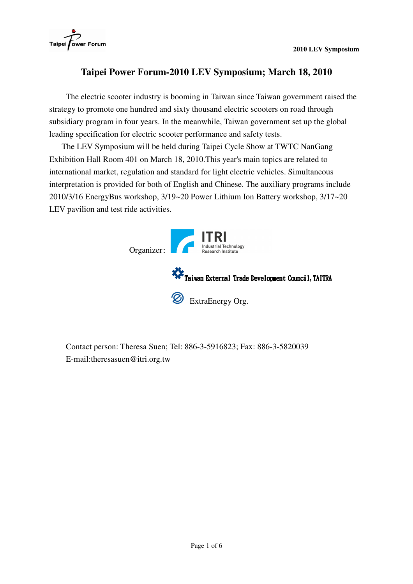

# **Taipei Power Forum-2010 LEV Symposium; March 18, 2010**

The electric scooter industry is booming in Taiwan since Taiwan government raised the strategy to promote one hundred and sixty thousand electric scooters on road through subsidiary program in four years. In the meanwhile, Taiwan government set up the global leading specification for electric scooter performance and safety tests.

The LEV Symposium will be held during Taipei Cycle Show at TWTC NanGang Exhibition Hall Room 401 on March 18, 2010.This year's main topics are related to international market, regulation and standard for light electric vehicles. Simultaneous interpretation is provided for both of English and Chinese. The auxiliary programs include 2010/3/16 EnergyBus workshop, 3/19~20 Power Lithium Ion Battery workshop, 3/17~20 LEV pavilion and test ride activities.



Contact person: Theresa Suen; Tel: 886-3-5916823; Fax: 886-3-5820039 E-mail:theresasuen@itri.org.tw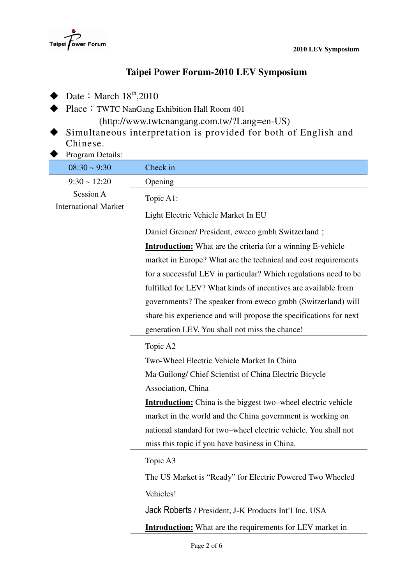

# **Taipei Power Forum-2010 LEV Symposium**

- $\blacklozenge$  Date: March  $18^{th}$ ,2010
- ◆ Place: TWTC NanGang Exhibition Hall Room 401

(http://www.twtcnangang.com.tw/?Lang=en-US)

- Simultaneous interpretation is provided for both of English and Chinese.
- Program Details:

| $08:30 \sim 9:30$                        | Check in                                                             |
|------------------------------------------|----------------------------------------------------------------------|
| $9:30 \sim 12:20$                        | Opening                                                              |
| Session A<br><b>International Market</b> | Topic A1:                                                            |
|                                          | Light Electric Vehicle Market In EU                                  |
|                                          | Daniel Greiner/ President, eweco gmbh Switzerland;                   |
|                                          | <b>Introduction:</b> What are the criteria for a winning E-vehicle   |
|                                          | market in Europe? What are the technical and cost requirements       |
|                                          | for a successful LEV in particular? Which regulations need to be     |
|                                          | fulfilled for LEV? What kinds of incentives are available from       |
|                                          | governments? The speaker from eweco gmbh (Switzerland) will          |
|                                          | share his experience and will propose the specifications for next    |
|                                          | generation LEV. You shall not miss the chance!                       |
|                                          | Topic A2                                                             |
|                                          | Two-Wheel Electric Vehicle Market In China                           |
|                                          | Ma Guilong/ Chief Scientist of China Electric Bicycle                |
|                                          | Association, China                                                   |
|                                          | <b>Introduction:</b> China is the biggest two–wheel electric vehicle |
|                                          | market in the world and the China government is working on           |
|                                          | national standard for two-wheel electric vehicle. You shall not      |
|                                          | miss this topic if you have business in China.                       |
|                                          | Topic A3                                                             |
|                                          | The US Market is "Ready" for Electric Powered Two Wheeled            |
|                                          | Vehicles!                                                            |
|                                          | Jack Roberts / President, J-K Products Int'l Inc. USA                |
|                                          | <b>Introduction:</b> What are the requirements for LEV market in     |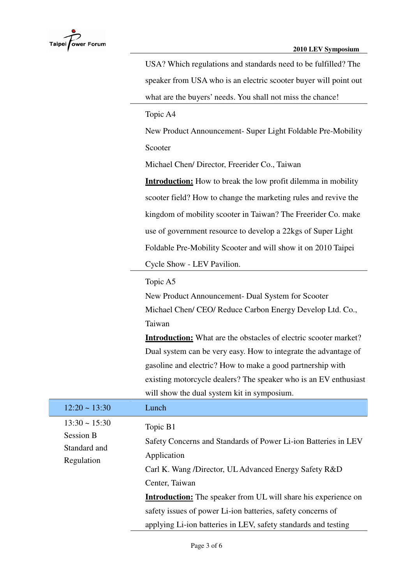

|                                  | USA? Which regulations and standards need to be fulfilled? The          |
|----------------------------------|-------------------------------------------------------------------------|
|                                  | speaker from USA who is an electric scooter buyer will point out        |
|                                  | what are the buyers' needs. You shall not miss the chance!              |
|                                  | Topic A4                                                                |
|                                  | New Product Announcement- Super Light Foldable Pre-Mobility             |
|                                  | Scooter                                                                 |
|                                  | Michael Chen/ Director, Freerider Co., Taiwan                           |
|                                  | <b>Introduction:</b> How to break the low profit dilemma in mobility    |
|                                  | scooter field? How to change the marketing rules and revive the         |
|                                  | kingdom of mobility scooter in Taiwan? The Freerider Co. make           |
|                                  | use of government resource to develop a 22kgs of Super Light            |
|                                  | Foldable Pre-Mobility Scooter and will show it on 2010 Taipei           |
|                                  | Cycle Show - LEV Pavilion.                                              |
|                                  | Topic A5                                                                |
|                                  | New Product Announcement- Dual System for Scooter                       |
|                                  | Michael Chen/ CEO/ Reduce Carbon Energy Develop Ltd. Co.,               |
|                                  | Taiwan                                                                  |
|                                  | <b>Introduction:</b> What are the obstacles of electric scooter market? |
|                                  | Dual system can be very easy. How to integrate the advantage of         |
|                                  | gasoline and electric? How to make a good partnership with              |
|                                  | existing motorcycle dealers? The speaker who is an EV enthusiast        |
|                                  | will show the dual system kit in symposium.                             |
| $12:20 \sim 13:30$               | Lunch                                                                   |
| $13:30 \sim 15:30$               | Topic B1                                                                |
| <b>Session B</b><br>Standard and | Safety Concerns and Standards of Power Li-ion Batteries in LEV          |
|                                  | Application                                                             |
| Regulation                       | Carl K. Wang /Director, UL Advanced Energy Safety R&D                   |
|                                  | Center, Taiwan                                                          |
|                                  | <b>Introduction:</b> The speaker from UL will share his experience on   |
|                                  |                                                                         |

safety issues of power Li-ion batteries, safety concerns of

applying Li-ion batteries in LEV, safety standards and testing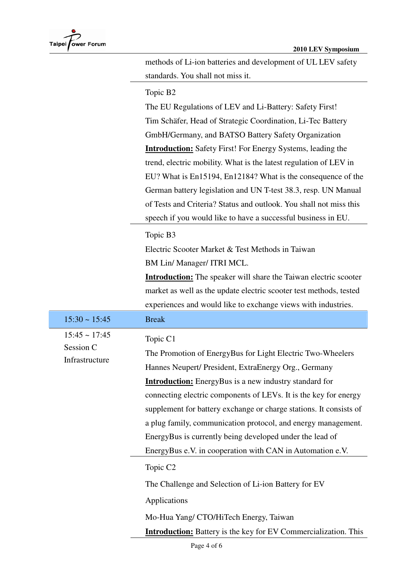methods of Li-ion batteries and development of UL LEV safety standards. You shall not miss it.

### Topic B2

The EU Regulations of LEV and Li-Battery: Safety First! Tim Schäfer, Head of Strategic Coordination, Li-Tec Battery GmbH/Germany, and BATSO Battery Safety Organization **Introduction:** Safety First! For Energy Systems, leading the trend, electric mobility. What is the latest regulation of LEV in EU? What is En15194, En12184? What is the consequence of the German battery legislation and UN T-test 38.3, resp. UN Manual of Tests and Criteria? Status and outlook. You shall not miss this speech if you would like to have a successful business in EU.

### Topic B3

Electric Scooter Market & Test Methods in Taiwan BM Lin/ Manager/ ITRI MCL.

**Introduction:** The speaker will share the Taiwan electric scooter market as well as the update electric scooter test methods, tested experiences and would like to exchange views with industries.

| $15:30 \sim 15:45$                                | <b>Break</b>                                                                                                                                                                                                                                                                                                                                                                                                                                                                                                                                                                                                                        |
|---------------------------------------------------|-------------------------------------------------------------------------------------------------------------------------------------------------------------------------------------------------------------------------------------------------------------------------------------------------------------------------------------------------------------------------------------------------------------------------------------------------------------------------------------------------------------------------------------------------------------------------------------------------------------------------------------|
| $15:45 \sim 17:45$<br>Session C<br>Infrastructure | Topic C1<br>The Promotion of EnergyBus for Light Electric Two-Wheelers<br>Hannes Neupert/ President, ExtraEnergy Org., Germany<br><b>Introduction:</b> EnergyBus is a new industry standard for<br>connecting electric components of LEVs. It is the key for energy<br>supplement for battery exchange or charge stations. It consists of<br>a plug family, communication protocol, and energy management.<br>EnergyBus is currently being developed under the lead of<br>EnergyBus e.V. in cooperation with CAN in Automation e.V.<br>Topic C <sub>2</sub><br>The Challenge and Selection of Li-ion Battery for EV<br>Applications |
|                                                   | Mo-Hua Yang/ CTO/HiTech Energy, Taiwan                                                                                                                                                                                                                                                                                                                                                                                                                                                                                                                                                                                              |
|                                                   | <b>Introduction:</b> Battery is the key for EV Commercialization. This                                                                                                                                                                                                                                                                                                                                                                                                                                                                                                                                                              |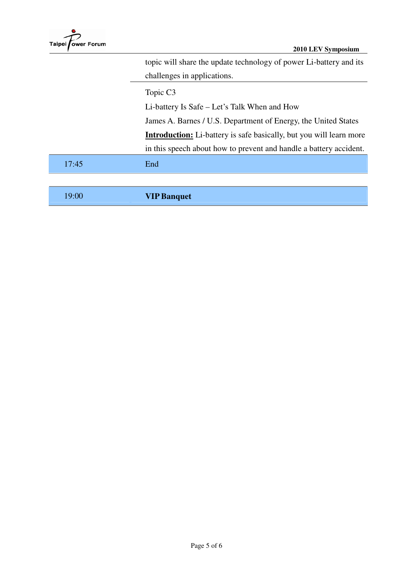|       | topic will share the update technology of power Li-battery and its         |
|-------|----------------------------------------------------------------------------|
|       | challenges in applications.                                                |
|       | Topic C <sub>3</sub>                                                       |
|       | Li-battery Is Safe – Let's Talk When and How                               |
|       | James A. Barnes / U.S. Department of Energy, the United States             |
|       | <b>Introduction:</b> Li-battery is safe basically, but you will learn more |
|       | in this speech about how to prevent and handle a battery accident.         |
| 17:45 | End                                                                        |
|       |                                                                            |

19:00 **VIP Banquet**